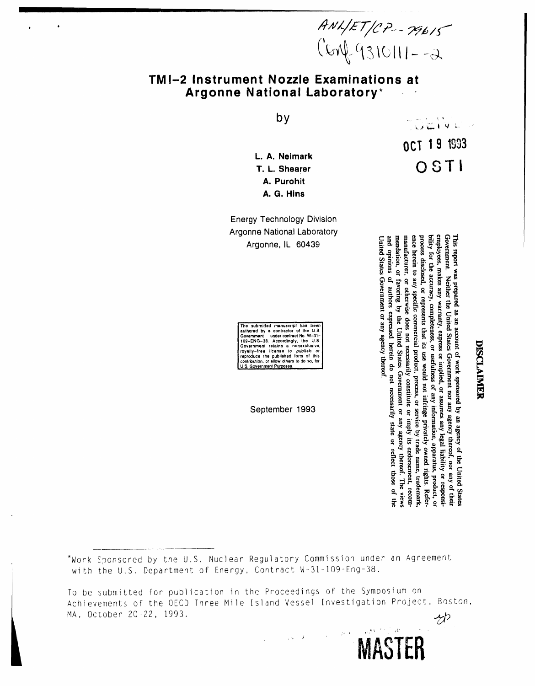$AWLET/CP - 79615$ <br>(Son) (1310111--2

# TMI-2 Instrument Nozzle Examinations at Argonne National Laboratory\*

by

L. A. Neimark T. L. Shearer A. Purohit A. G. Hins

**Energy Technology Division** Argonne National Laboratory Argonne, IL 60439

The submitted manuscript has been The submitted manuacity has been<br>a cultored by a contractor of the U.S.<br>Covernment under contract No. W-31-109-ENG-38. Accordingly, the U.S.<br>Government relatins a nonexclusive,<br>reproduce the published form of this<br>contribu

September 1993

**COLIVE** OCT 19 1993 OSTI

# DISCLAIMER

This report was prepared as an account of work sponsored by an agency of the United States Government. Neither the United States Government nor any agency thereof, nor any of their employees, makes any warranty, express or implied, or assumes any legal liability or responsi-

mendation, or favoring by the United States Government or any agency thereof. The views manufacturer, or otherwise does not necessarily constitute or imply its endorsement, recomence herein to any specific commercial product, process, or service by trade name, trademark process disclosed, or represents that its use would not infringe privately owned rights. Referbility for the accuracy, completeness, or usefulness of any information, apparatus, product, or

necessarily

state or reflect those of the

 $\alpha^{kV^{(2)}}$  ) at

**MASTER** 

 $\frac{1}{2}$  ,  $\frac{1}{2}$ 

 $\sim 10^{-11}$ 

and opinions of authors expressed herein do not United States Government or any agency thereof

\*Work Sponsored by the U.S. Nuclear Regulatory Commission under an Agreement with the U.S. Department of Energy, Contract W-31-109-Eng-38.

To be submitted for publication in the Proceedings of the Symposium on Achievements of the OECD Three Mile Island Vessel Investigation Project, Boston, MA, October 20-22, 1993.  $Z^{\prime}$ 

 $\frac{1}{2} \frac{1}{2} \frac{1}{2} \frac{1}{2} \frac{1}{2}$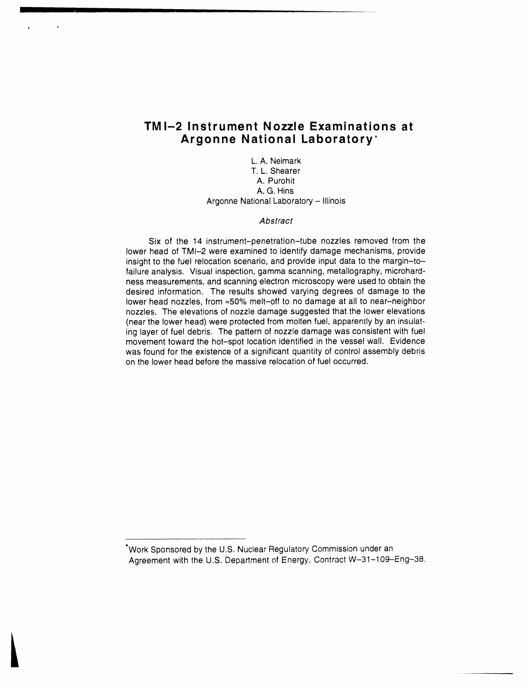# **TMI-2 Instrument Nozzle Examinations at Argonne National Laboratory**

• 0

L. A. Neimark T. L. Shearer A. Purohit A. G. Hins Argonne National Laboratory**-** Ill**i**no**i**s

### Abstract

Six of the 14 instrument-penetration-tube nozzles removed from the lower head of TMI-2 were examined to identify damage mechanisms, provide insight to the fuel relocation scenario, and provide input data to the margin-tofailure analysis. Visual inspection, gamma scanning, metallography, microhardness measurements, and scanning electron microscopy were used to obtain the desired information. The results showed varying degrees of damage to the lower head nozzles, from ≈50% melt-off to no damage at all to near-neighbor nozzles. The elevations of nozzle damage suggested that the lower elevations (near the lower head) were protected from molten fuel, apparen**t**ly by an insulating layer of fuel debris. The pattern of nozzle damage was consistent with fuel movement toward the hot-spot location identified in the vessel wall. Evidence was found for the existence of a significant quantity of control assembly debris on the lower head before the massive relocation of fuel occurred.

\*Work Sponsored by the U.S. Nuclear Regulatory Commission under an Agreement with the U.S. Department of Energy, Contract W-31-109-Eng-38.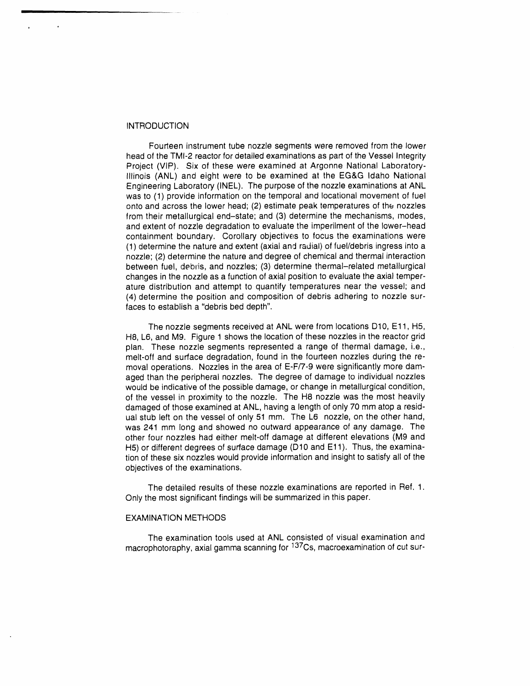#### **INTRODUCTION**

 $\overline{\phantom{a}}$ t

> Fourteen instrument tube nozzle segments were removed from the lower head of the TMI-2 reactor for detailed examinations as part of the Vessel Integrity Project (VlP). Six of these were examined at Argonne National Laboratory-Illinois (ANL) and eight were to be examined at the EG&G Idaho National Engineering Laboratory (INEL). The purpose of the nozzle examinations at ANL was to (1) provide information on the temporal and Iocational movement of fuel onto and across the lower head; (2) estimate peak temperatures of the nozzles from their metallurgical end-state; and (3) determine the mechanisms, modes, and extent of nozzle degradation to evaluate the imperilment of the lower-head containment boundary. Corollary objectives to focus the examinations were (1) determine the nature and extent (axial and radial) of fuel/debris ingress into a nozzle; (2) determine the nature and degree of chemical and thermal interaction between fuel, debris, and nozzles; (3) determine thermal-related metallurgical changes in the nozzle as a function of axial position to evaluate the axial temperature distribution and attempt to quantify temperatures near the vessel; and (4) determine the position and composition of debris adhering to nozzle surfaces to establish a "debris bed depth".

> The nozzle segments received at ANL were from locations D10, E11, H5, H8, L6, and M9. Figure 1 shows the location of these nozzles in the reactor grid plan. These nozzle segments represented a range of thermal damage, i.e., melt-off and surface degradation, found in the fourteen nozzles during the removal operations. Nozzles in the area of E-F/7-9 were significantly more damaged than the peripheral nozzles. The degree of damage to individual nozzles would be indicative of the possible damage, or change in metallurgical condition, of the vessel in proximity to the nozzle. The H8 nozzle was the most heavily damaged of those examined at ANL, having a length of only 70 mm atop a residual stub left on the vessel of only 51 mm. The L6 nozzle, on the other hand, was 241 mm long and showed no outward appearance of any damage. The other four nozzles had either melt-off damage at different elevations (M9 and H5) or different degrees of surface damage (D10 and E11). Thus, the examination of these six nozzles would provide information and insight to satisfy all of the objectives of the examinations.

> The detailed results of these nozzle examinations are reported in Ref. 1. Only the most significant findings will be summarized in this paper.

#### EXAMINATION METHODS

The examination tools used at ANL consisted of visual examination and macrophotoraphy, axial gamma scanning for <sup>137</sup>Cs, macroexamination of cut sur-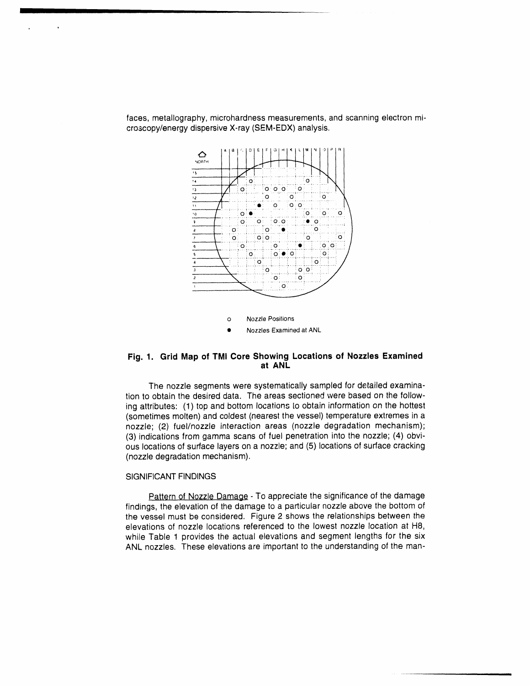

faces, metallography, microhardness measurements, and scanning electron microscopy/energy dispersive X-ray (SEM-EDX) analysis.

#### Fig. 1. Grid Map of TMI Core Showing Locations of Nozzles Examined at ANL

The nozzle segments were systematically sampled for detailed examination to obtain the desired data. The areas sectioned were based on the following attributes: (1) top and bottom locations to obtain information on the hottest (sometimes molten) and coldest (nearest the vessel) temperature extremes in a nozzle; (2) fuel/nozzle interaction areas (nozzle degradation mechanism); (3) indications from gamma scans of fuel penetration into the nozzle; (4) obvious locations of surface layers on a nozzle; and (5) locations of surface cracking (nozzle degradation mechanism).

#### **SIGNIFICANT FINDINGS**

Pattern of Nozzle Damage - To appreciate the significance of the damage findings, the elevation of the damage to a particular nozzle above the bottom of the vessel must be considered. Figure 2 shows the relationships between the elevations of nozzle locations referenced to the lowest nozzle location at H8, while Table 1 provides the actual elevations and segment lengths for the six ANL nozzles. These elevations are important to the understanding of the man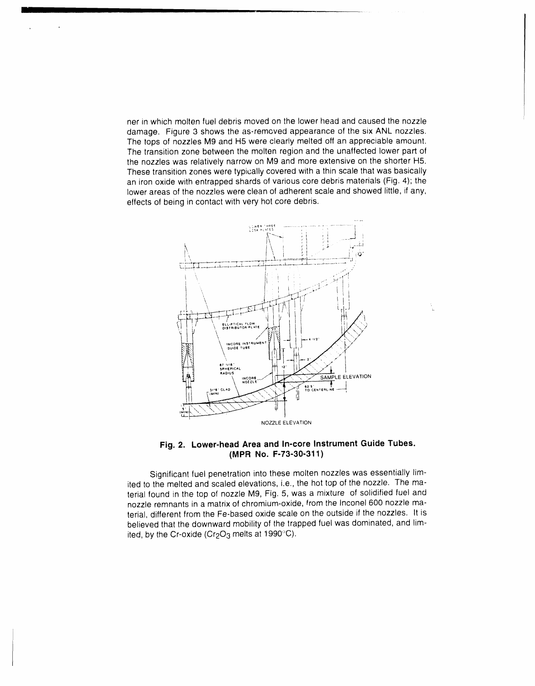ner in which molten fuel debris moved on the lower head and caused the nozzle damage. Figure 3 shows the as-removed appearance of the six ANL nozzles. The tops of nozzles M9 and H5 were clearly melted off an appreciable amount. The transition zone between the molten region and the unaffected lower part of the nozzles was relatively narrow on M9 and more extensive on the shorter H5. These transition zones were typically covered with a thin scale that was basically an iron oxide with entrapped shards of various core debris materials (Fig. 4); the lower areas of the nozzles were clean of adherent scale and showed little, if any, effects of being in contact with very hot core debris.



## **Fig**. **2. Lower-head Area and In-core Instrument Guide Tubes. (MPR No. F-73-30-311)**

Significant fuel penetration into these molten nozzles was essentially limited to the melted and scaled elevations, i.e., the hot top of the nozzle. The material found in the top of nozzle Mg, Fig. 5, was a mixture of solidified fuel and nozzle remnants in a matrix of chromium-oxide, from the Inconel 600 nozzle material, different from the Fe-based oxide scale on the outside if the nozzles. It is believed that the downward mobility of the trapped fuel was dominated, and limited, by the Cr-oxide (Cr<sub>2</sub>O<sub>3</sub> melts at 1990 $^{\circ}$ C).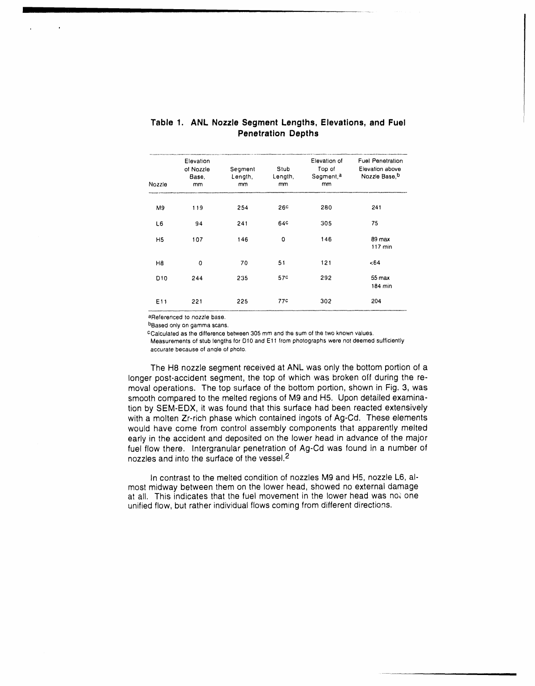|                 | Elevation                | Segment<br>Length,<br>mm | Stub<br>Length,<br>mm | Elevation of<br>Top of<br>Segment, <sup>a</sup><br>mm | <b>Fuel Penetration</b><br>Elevation above<br>Nozzle Base, b |
|-----------------|--------------------------|--------------------------|-----------------------|-------------------------------------------------------|--------------------------------------------------------------|
| Nozzle          | of Nozzle<br>Base,<br>mm |                          |                       |                                                       |                                                              |
|                 |                          |                          |                       |                                                       |                                                              |
| M9              | 119                      | 254                      | 26c                   | 280                                                   | 241                                                          |
| L6              | 94                       | 241                      | 64 <sup>c</sup>       | 305                                                   | 75                                                           |
| H5              | 107                      | 146                      | $\circ$               | 146                                                   | 89 max<br>$117$ min                                          |
| H8              | 0                        | 70                       | 51                    | 121                                                   | <64                                                          |
| D <sub>10</sub> | 244                      | 235                      | 57 <sup>c</sup>       | 292                                                   | 55 max<br>184 min                                            |
| E <sub>11</sub> | 221                      | 225                      | 77c                   | 302                                                   | 204                                                          |

## **Tabl**e **1. ANL Nozzle Segment Lengths, Elevations, and Fuel P**e**n**e**tration D**e**pths**

aReferenced to nozzle base.

bBa**s**edonly **o**n gamma **s**cans.

CCalculated as the difference between 305 mm and the sum of the two known values. Measurements of stub lengths for D10 and E11 from photographs were not deemed sufficienlly

accurate because **o**f anqle of pho**t**o**.**

The H8 nozzle segment received at ANL was only the bottom portion of a longer post-accident segment, the top of which was broken off during the removal operations. The top surface of the bottom portion, shown in Fig. 3, was smooth compared to the melted regions of M9 and H5. Upon detailed examination by SEM-EDX, it was found that this surface had been reacted extensively with a molten Zr-rich phase which contained ingots of Ag-Cd. These elements would have come from control assembly components that apparently melted early in the accident and deposited on the lower head in advance of the major fuel flow there. Intergranular penetration of Ag-Cd was found in a number of nozzles and into the surface of the vessel.2

In contrast to the melted condition of nozzles M9 and H5, nozzle L6, almost midway between them on the lower head, showed no external damage at all. This indicates that the fuel movement in the lower head was not one unified flow, but rather individual flows coming from different directions.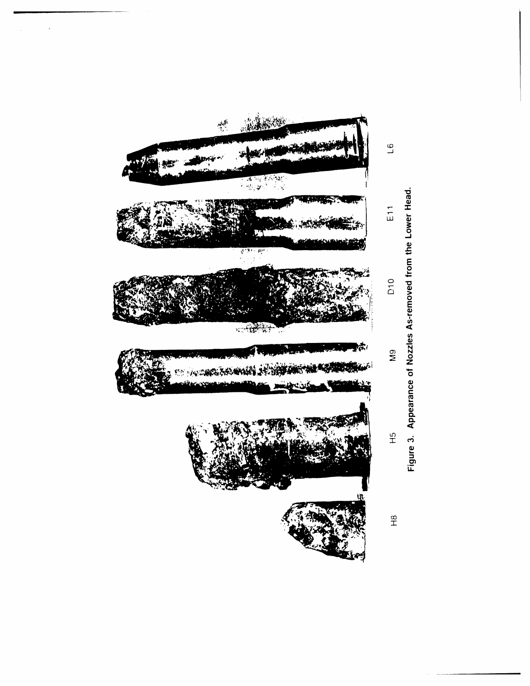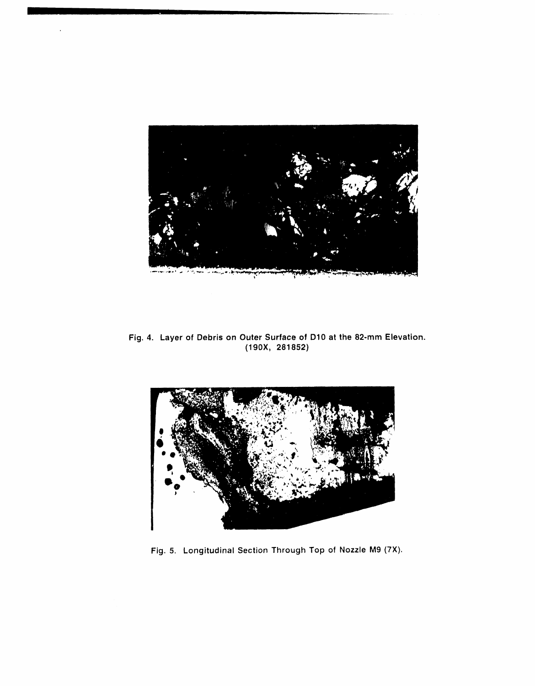

Fig. 4. Layer of Debris on Outer Surface of D10 at the 82-mm Elevation.  $(190X, 281852)$ 



Fig. 5. Longitudinal Section Through Top of Nozzle M9 (7X).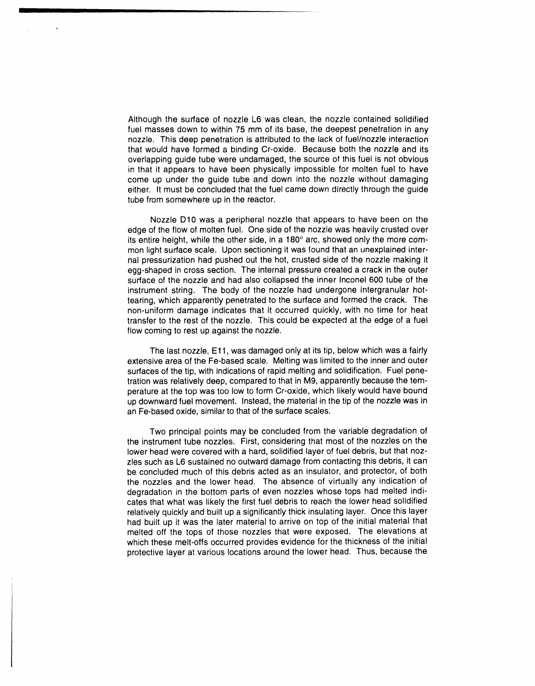Although the surface of nozzle L6 was clean, the nozzle contained solidified fuel masses down to within 75 mm of its base, the deepest penetration in any nozzle. This deep penetration is attributed to the lack of fuel/nozzle interaction that would have formed a binding Cr-oxide. Because both the nozzle and its overlapping guide tube were undamaged, the source of this fuel is not obvious in that it appears to have been physically impossible for molten fuel to have come up under the guide tube and down into the nozzle without damaging either. It must be concluded that the fuel came down directly through the guide tube from somewhere up in the reactor.

Nozzle D10 was a peripheral nozzle that appears to have been on the edge of the flow of molten fuel. One side of the nozzle was heavily crusted over its entire height, while the other side, in a 180° arc, showed only the more common light surface scale. Upon sectioning it was found that an unexplained internal pressurization had pushed out the hot, crusted side of the nozzle making it egg-shaped in cross section. The internal pressure created a crack in the outer surface of the nozzle and had also collapsed the inner Inconel 600 tube of the instrument string. The body of the nozzle had undergone intergranular hottearing, which apparently penetrated to the surface and formed the crack. The non-uniform damage indicates that it occurred quickly, with no time for heat transfer to the rest of the nozzle. This could be expected at the edge of a fuel flow coming to rest up against the nozzle.

The last nozzle, E11, was damaged only at its tip, below which was a fairly extensive area of the Fe-based scale. Melting was limited to the inner and outer surfaces of the tip, with indications of rapid melting and solidification. Fuel penetration was relatively deep, compared to that in M9, apparently because the temperature at the top was too low to form Cr-oxide, which likely would have bound up downward fuel movement. Instead, the material in the tip of the nozzle was in an Fe-based oxide, similar to that of the surface scales.

Two principal points may be concluded from the variable degradation of the instrument tube nozzles. First, considering that most of the nozzles on the lower head were covered with a hard, solidified layer of fuel debris, but that nozzles such as L6 sustained no outward damage from contacting this debris, it can be concluded much of this debris acted as an insulator, and protector, of both the nozzles and the lower head. The absence of virtually any indication of degradation in the bottom parts of even nozzles whose tops had melted indicates that what was likely the first fuel debris to reach the lower head solidified relatively quickly and built up a significantly thick insulating layer. Once this layer had built up it was the later material to arrive on top of the initial material that melted off the tops of those nozzles that were exposed. The elevations at which these melt-offs occurred provides evidence for the thickness of the initial protective layer at various locations around the lower head. Thus, because the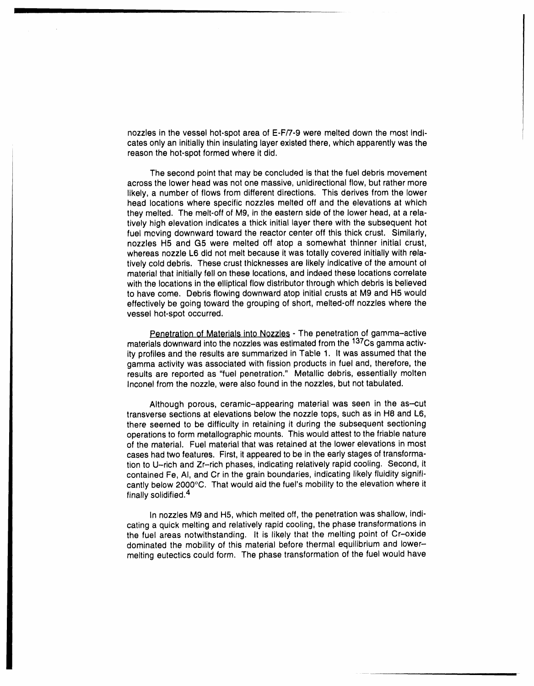nozzl**e**s **in** th**e** v**esse**l h**o**t**-s**pot ar**e**a of E-F/7-9 w**e**r**e** m**e**lt**ed** down th**e** mo**s**t In**d**icates only an initially thin **i**nsulatinglayer exi**s**ted there, which appar**e**ntly wa**s**th**e** reason the hot-spot formed where it did.

The second point that may be concluded i**s** that the fuel debris movement across the lower head was not one massive, unidirectional flow, but rather more likely, a number of flows from different direct**i**ons. This d**e**rives from the lower head locations where specific nozzles melted off and the elevations at which they melted. The melt-off of Mg, in the eastern side of the lower head, at a relatively high elevation indicates a thick initial layer there with the subsequent hot fuel moving downward toward the reactor center off this thick crust. Similarly, nozzles H5 and G5 were melted off atop a somewhat thinner initial crust, whereas nozzle L6 did not melt becau**s**e it was totally covered initially with relativ**e**ly cold debris. These crust th**i**cknesses are likely indicative of the amount o**t** material that initially fell on these locations, and indeed these locations correlate with the locations in the elliptical flow distributor through which debris is **b**elieved to have come. Debri**s**flowing downward atop initial crusts at M9 and H5 would effectively be going toward the grouping of short, melted-off nozzles where the vessel hot-spot occurred.

Penetration of Materials into Nozzles - The penetration of gamma-active materials downward into the nozzles was estimated from the <sup>137</sup>Cs gamma activity profiles and the results are summarized in Table 1. It was assumed that the gamma activity was associated with fission products in fuel and, therefore, the results are reported as "fuel penetration." Metallic debris, essentially molten Inconel from the nozzle, were also found in the nozzles, but not tabulated.

Although porous, ceramic-appearing material was seen in the as-cut transverse sections at elevations below the nozzle tops, such as in H8 and L6, there seemed to be difficulty in retaining it during the subsequent sectioning operations to form metallographic mounts. This would attest to the friable nature of the material. Fuel material that was retained at the lower elevations in most cases had two features. First, it appeared to be inthe early stages of transformation to U-rich and Zr-rich phases, indicating relatively rapid cooling. Second, it contained Fe, AI, and Cr in the grain boundaries, indicating likely fluidity significantly below 2000°C. That would aid the fuel's mobility to the elevation where it finally solidified.4

In nozzles M9 and H5, which melted off, the penetration was shallow, indicating a quick melting and relatively rapid cooling, the phase transformations in the fuel areas notwithstanding. It is likely that the melting point of Cr-oxide dominated the mobility of this material before thermal equilibrium and lowermelting eutectics could form. The phase transformation of the fuel would have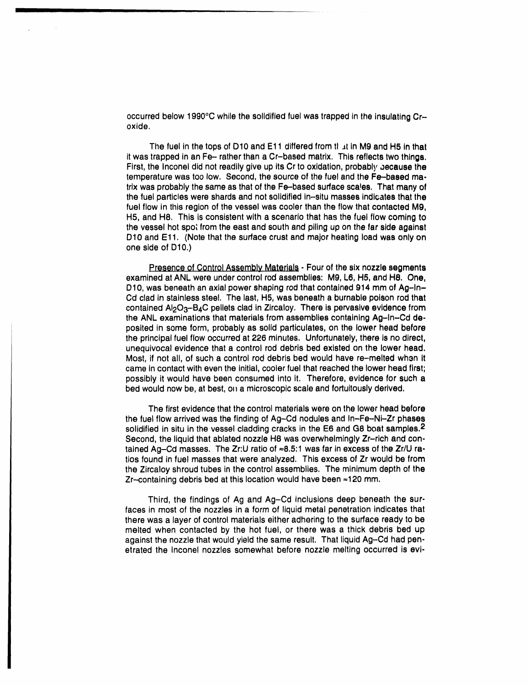occurred below 1990°C while the solidified fuel was trapped in the insulating Croxide.

The fuel in the tops of D10 and E11 differed from that in M9 and H5 in that it was trapped in an Fe-- rather than a Cr-based matrix. This reflects two things. First, the Inconel did not readily give up its Cr to oxidation, probably because the temperature was too low. Second, the source of the fuel and the Fe-based matrix was probably the same as that of the Fe-based surface scales. That many of the fuel particles were shards and not solidified in-situ masses indicates that the fuel flow in this region of the vessel was cooler than the flow that contacted M9. H5, and H8. This is consistent with a scenario that has the fuel flow coming to the vessel hot spot from the east and south and piling up on the far side against D10 and E11. (Note that the surface crust and major heating load was only on one side of D10.)

Presence of Control Assembly Materials - Four of the six nozzle segments examined at ANL were under control rod assemblies: M9, L6, H5, and H8. One, D10, was beneath an axial power shaping rod that contained 914 mm of Ag-In-Cd clad in stainless steel. The last, H5, was beneath a burnable poison rod that contained Al<sub>2</sub>O<sub>3</sub>-B<sub>4</sub>C pellets clad in Zircaloy. There is pervasive evidence from the ANL examinations that materials from assemblies containing Ag-In-Cd deposited in some form, probably as solid particulates, on the lower head before the principal fuel flow occurred at 226 minutes. Unfortunately, there is no direct, unequivocal evidence that a control rod debris bed existed on the lower head. Most, if not all, of such a control rod debris bed would have re-melted when it came in contact with even the initial, cooler fuel that reached the lower head first; possibly it would have been consumed into it. Therefore, evidence for such a bed would now be, at best, on a microscopic scale and fortuitously derived.

The first evidence that the control materials were on the lower head before the fuel flow arrived was the finding of Ag-Cd nodules and  $\ln$ -Fe-Ni-Zr phases solidified in situ in the vessel cladding cracks in the E6 and G8 boat samples.<sup>2</sup> Second, the liquid that ablated nozzle H8 was overwhelmingly Zr-rich and contained Ag-Cd masses. The Zr:U ratio of ≈8.5:1 was far in excess of the Zr/U ratios found in fuel masses that were analyzed. This excess of Zr would be from the Zircaloy shroud tubes in the control assemblies. The minimum depth of the Zr--containing debris bed at this location would have been =120 mm.

Third, the findings of Ag and Ag-Cd inclusions deep beneath the surfaces in most of the nozzles in a form of liquid metal penetration indicates that there was a laver of control materials either adhering to the surface ready to be melted when contacted by the hot fuel, or there was a thick debris bed up against the nozzle that would yield the same result. That liquid Ag-Cd had penetrated the inconel nozzles somewhat before nozzle melting occurred is evi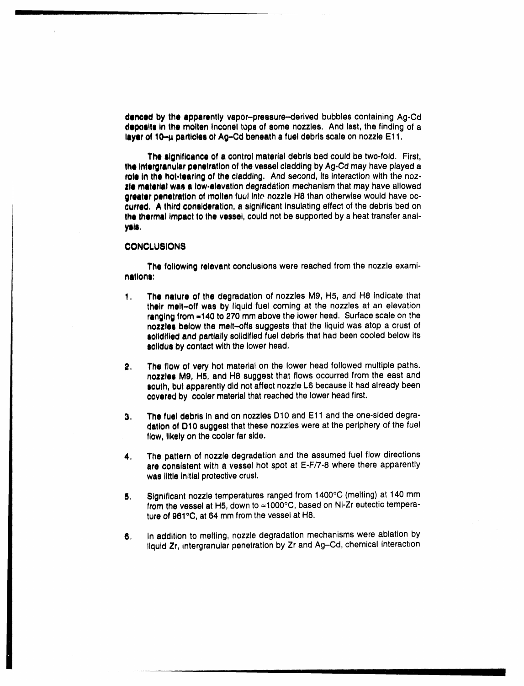denced by the apparently vapor-pressure-derived bubbles containing Ag-Cd deposits in the molten inconel tops of some nozzles. And last, the finding of a layer of 10-µ particles of Ag-Cd beneath a fuel debris scale on nozzle E11.

The significance of a control material debris bed could be two-fold. First, the intergranular penetration of the vessel cladding by Ag-Cd may have played a role in the hot-tearing of the cladding. And second, its interaction with the nozzie material was a low-elevation degradation mechanism that may have allowed greater penetration of molten fuel into nozzle H8 than otherwise would have occurred. A third consideration, a significant insulating effect of the debris bed on the thermal impact to the vessel, could not be supported by a heat transfer analysis.

#### **CONCLUSIONS**

The following relevant conclusions were reached from the nozzle examinations:

- The nature of the degradation of nozzles M9, H5, and H8 indicate that  $\mathbf{1}$ . their melt-off was by liquid fuel coming at the nozzles at an elevation ranging from =140 to 270 mm above the lower head. Surface scale on the nozzles below the melt-offs suggests that the liquid was atop a crust of solidified and partially solidified fuel debris that had been cooled below its solidus by contact with the lower head.
- The flow of very hot material on the lower head followed multiple paths. 2. nozzles M9. H5, and H8 suggest that flows occurred from the east and south, but apparently did not affect nozzle L6 because it had already been covered by cooler material that reached the lower head first.
- The fuel debris in and on nozzles D10 and E11 and the one-sided degra-З. dation of D10 suggest that these nozzles were at the periphery of the fuel flow, likely on the cooler far side.
- The pattern of nozzle degradation and the assumed fuel flow directions 4. are consistent with a vessel hot spot at E-F/7-8 where there apparently was little initial protective crust.
- Significant nozzle temperatures ranged from 1400°C (melting) at 140 mm 5. from the vessel at H5, down to ≈1000°C, based on Ni-Zr eutectic temperature of 961°C, at 64 mm from the vessel at H8.
- In addition to melting, nozzle degradation mechanisms were ablation by 6. liquid Zr, intergranular penetration by Zr and Ag-Cd, chemical interaction